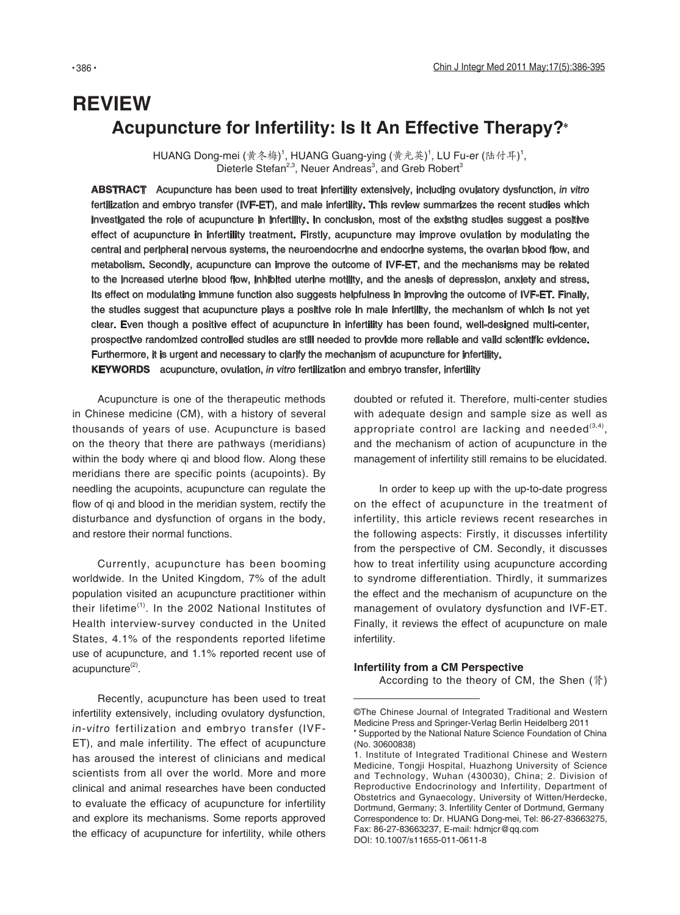# **REVIEW Acupuncture for Infertility: Is It An Effective Therapy?**

HUANG Dong-mei (黄冬梅)<sup>1</sup>, HUANG Guang-ying (黄光英)<sup>1</sup>, LU Fu-er (陆付耳)<sup>1</sup>, Dieterle Stefan<sup>2,3</sup>, Neuer Andreas<sup>3</sup>, and Greb Robert<sup>3</sup>

**ABSTRACT** Acupuncture has been used to treat infertility extensively, including ovulatory dysfunction, in vitro fertilization and embryo transfer (IVF-ET), and male infertility. This review summarizes the recent studies which investigated the role of acupuncture in infertility. In conclusion, most of the existing studies suggest a positive effect of acupuncture in infertility treatment. Firstly, acupuncture may improve ovulation by modulating the central and peripheral nervous systems, the neuroendocrine and endocrine systems, the ovarian blood flow, and metabolism. Secondly, acupuncture can improve the outcome of IVF-ET, and the mechanisms may be related to the increased uterine blood flow, inhibited uterine motility, and the anesis of depression, anxiety and stress. Its effect on modulating immune function also suggests helpfulness in improving the outcome of IVF-ET. Finally, the studies suggest that acupuncture plays a positive role in male infertility, the mechanism of which is not yet clear. Even though a positive effect of acupuncture in infertility has been found, well-designed multi-center, prospective randomized controlled studies are still needed to provide more reliable and valid scientific evidence. Furthermore, it is urgent and necessary to clarify the mechanism of acupuncture for infertility. **KEYWORDS** acupuncture, ovulation, in vitro fertilization and embryo transfer, infertility

Acupuncture is one of the therapeutic methods in Chinese medicine (CM), with a history of several thousands of years of use. Acupuncture is based on the theory that there are pathways (meridians) within the body where qi and blood flow. Along these meridians there are specific points (acupoints). By needling the acupoints, acupuncture can regulate the flow of qi and blood in the meridian system, rectify the disturbance and dysfunction of organs in the body, and restore their normal functions.

Currently, acupuncture has been booming worldwide. In the United Kingdom, 7% of the adult population visited an acupuncture practitioner within their lifetime $<sup>(1)</sup>$ . In the 2002 National Institutes of</sup> Health interview-survey conducted in the United States, 4.1% of the respondents reported lifetime use of acupuncture, and 1.1% reported recent use of  $acupuncture<sup>(2)</sup>$ .

Recently, acupuncture has been used to treat infertility extensively, including ovulatory dysfunction, in-vitro fertilization and embryo transfer (IVF-ET), and male infertility. The effect of acupuncture has aroused the interest of clinicians and medical scientists from all over the world. More and more clinical and animal researches have been conducted to evaluate the efficacy of acupuncture for infertility and explore its mechanisms. Some reports approved the efficacy of acupuncture for infertility, while others doubted or refuted it. Therefore, multi-center studies with adequate design and sample size as well as appropriate control are lacking and needed $^{(3,4)}$ , and the mechanism of action of acupuncture in the management of infertility still remains to be elucidated.

In order to keep up with the up-to-date progress on the effect of acupuncture in the treatment of infertility, this article reviews recent researches in the following aspects: Firstly, it discusses infertility from the perspective of CM. Secondly, it discusses how to treat infertility using acupuncture according to syndrome differentiation. Thirdly, it summarizes the effect and the mechanism of acupuncture on the management of ovulatory dysfunction and IVF-ET. Finally, it reviews the effect of acupuncture on male infertility.

#### **Infertility from a CM Perspective**

According to the theory of CM, the Shen (肾)

<sup>©</sup>The Chinese Journal of Integrated Traditional and Western Medicine Press and Springer-Verlag Berlin Heidelberg 2011 Supported by the National Nature Science Foundation of China (No. 30600838)

<sup>1.</sup> Institute of Integrated Traditional Chinese and Western Medicine, Tongji Hospital, Huazhong University of Science and Technology, Wuhan (430030), China; 2. Division of Reproductive Endocrinology and Infertility, Department of Obstetrics and Gynaecology, University of Witten/Herdecke, Dortmund, Germany; 3. Infertility Center of Dortmund, Germany Correspondence to: Dr. HUANG Dong-mei, Tel: 86-27-83663275, Fax: 86-27-83663237, E-mail: hdmjcr@qq.com DOI: 10.1007/s11655-011-0611-8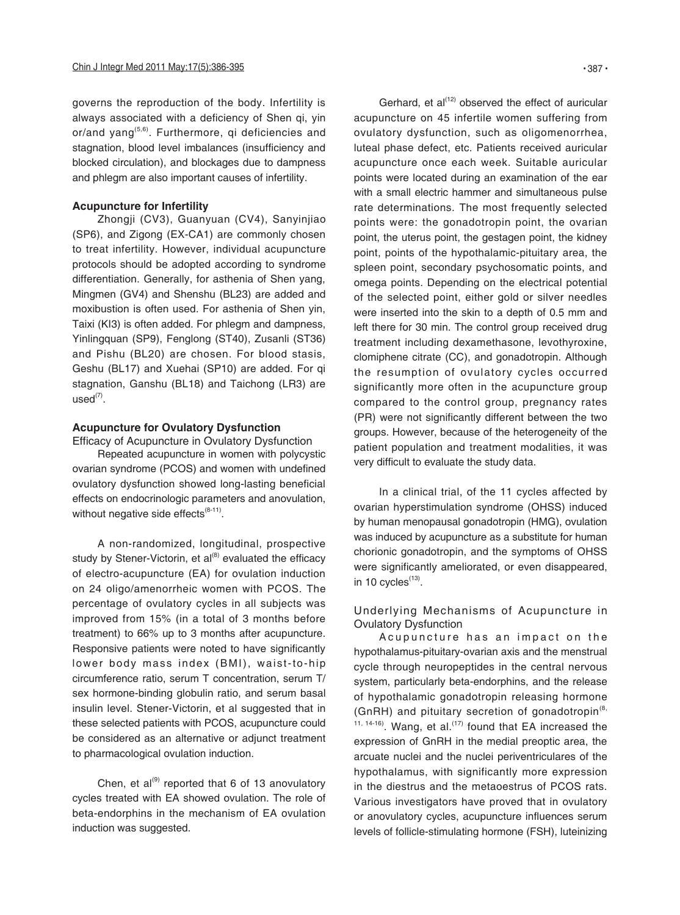governs the reproduction of the body. Infertility is always associated with a deficiency of Shen qi, yin or/and yang<sup>(5,6)</sup>. Furthermore, qi deficiencies and stagnation, blood level imbalances (insufficiency and blocked circulation), and blockages due to dampness and phlegm are also important causes of infertility.

#### **Acupuncture for Infertility**

Zhongji (CV3), Guanyuan (CV4), Sanyinjiao (SP6), and Zigong (EX-CA1) are commonly chosen to treat infertility. However, individual acupuncture protocols should be adopted according to syndrome differentiation. Generally, for asthenia of Shen yang, Mingmen (GV4) and Shenshu (BL23) are added and moxibustion is often used. For asthenia of Shen yin, Taixi (KI3) is often added. For phlegm and dampness, Yinlingquan (SP9), Fenglong (ST40), Zusanli (ST36) and Pishu (BL20) are chosen. For blood stasis, Geshu (BL17) and Xuehai (SP10) are added. For qi stagnation, Ganshu (BL18) and Taichong (LR3) are  $used<sup>(7)</sup>$ .

## **Acupuncture for Ovulatory Dysfunction**

Efficacy of Acupuncture in Ovulatory Dysfunction Repeated acupuncture in women with polycystic ovarian syndrome (PCOS) and women with undefined ovulatory dysfunction showed long-lasting beneficial effects on endocrinologic parameters and anovulation, without negative side effects $(8-11)$ .

A non-randomized, longitudinal, prospective study by Stener-Victorin, et  $al^{(8)}$  evaluated the efficacy of electro-acupuncture (EA) for ovulation induction on 24 oligo/amenorrheic women with PCOS. The percentage of ovulatory cycles in all subjects was improved from 15% (in a total of 3 months before treatment) to 66% up to 3 months after acupuncture. Responsive patients were noted to have significantly lower body mass index (BMI), waist-to-hip circumference ratio, serum T concentration, serum T/ sex hormone-binding globulin ratio, and serum basal insulin level. Stener-Victorin, et al suggested that in these selected patients with PCOS, acupuncture could be considered as an alternative or adjunct treatment to pharmacological ovulation induction.

Chen, et al<sup>(9)</sup> reported that 6 of 13 anovulatory cycles treated with EA showed ovulation. The role of beta-endorphins in the mechanism of EA ovulation induction was suggested.

Gerhard, et  $al^{(12)}$  observed the effect of auricular acupuncture on 45 infertile women suffering from ovulatory dysfunction, such as oligomenorrhea, luteal phase defect, etc. Patients received auricular acupuncture once each week. Suitable auricular points were located during an examination of the ear with a small electric hammer and simultaneous pulse rate determinations. The most frequently selected points were: the gonadotropin point, the ovarian point, the uterus point, the gestagen point, the kidney point, points of the hypothalamic-pituitary area, the spleen point, secondary psychosomatic points, and omega points. Depending on the electrical potential of the selected point, either gold or silver needles were inserted into the skin to a depth of 0.5 mm and left there for 30 min. The control group received drug treatment including dexamethasone, levothyroxine, clomiphene citrate (CC), and gonadotropin. Although the resumption of ovulatory cycles occurred significantly more often in the acupuncture group compared to the control group, pregnancy rates (PR) were not significantly different between the two groups. However, because of the heterogeneity of the patient population and treatment modalities, it was very difficult to evaluate the study data.

In a clinical trial, of the 11 cycles affected by ovarian hyperstimulation syndrome (OHSS) induced by human menopausal gonadotropin (HMG), ovulation was induced by acupuncture as a substitute for human chorionic gonadotropin, and the symptoms of OHSS were significantly ameliorated, or even disappeared, in 10 cycles $<sup>(13)</sup>$ .</sup>

## Underlying Mechanisms of Acupuncture in Ovulatory Dysfunction

Acupuncture has an impact on the hypothalamus-pituitary-ovarian axis and the menstrual cycle through neuropeptides in the central nervous system, particularly beta-endorphins, and the release of hypothalamic gonadotropin releasing hormone (GnRH) and pituitary secretion of gonadotropin<sup>(8,</sup>  $11, 14-16$ . Wang, et al.<sup>(17)</sup> found that EA increased the expression of GnRH in the medial preoptic area, the arcuate nuclei and the nuclei periventriculares of the hypothalamus, with significantly more expression in the diestrus and the metaoestrus of PCOS rats. Various investigators have proved that in ovulatory or anovulatory cycles, acupuncture influences serum levels of follicle-stimulating hormone (FSH), luteinizing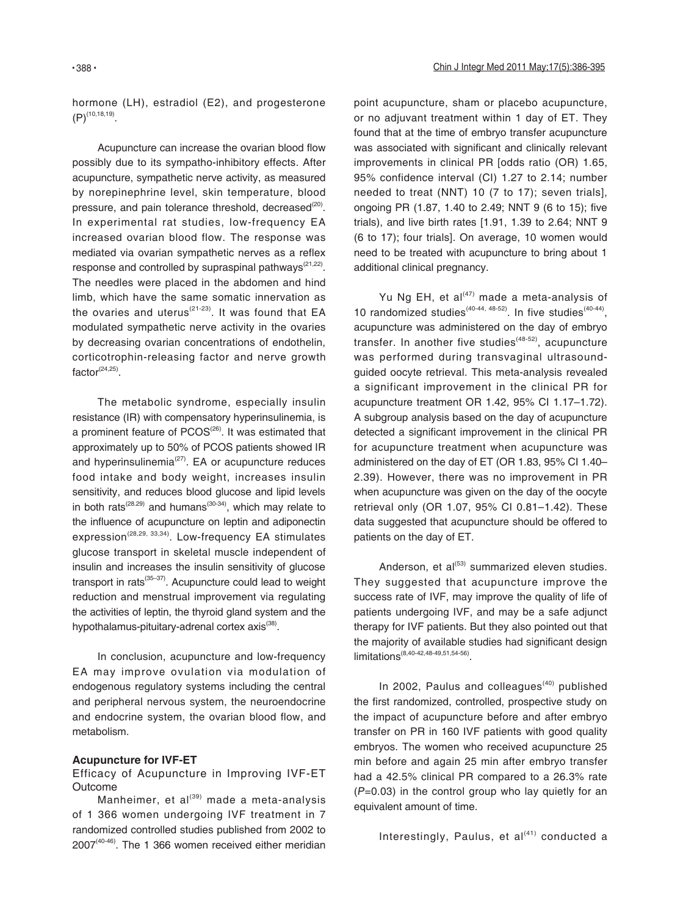hormone (LH), estradiol (E2), and progesterone  $(P)^{(10,18,19)}$ 

Acupuncture can increase the ovarian blood flow possibly due to its sympatho-inhibitory effects. After acupuncture, sympathetic nerve activity, as measured by norepinephrine level, skin temperature, blood pressure, and pain tolerance threshold, decreased<sup>(20)</sup>. In experimental rat studies, low-frequency EA increased ovarian blood flow. The response was mediated via ovarian sympathetic nerves as a reflex response and controlled by supraspinal pathways $(21,22)$ . The needles were placed in the abdomen and hind limb, which have the same somatic innervation as the ovaries and uterus<sup> $(21-23)$ </sup>. It was found that EA modulated sympathetic nerve activity in the ovaries by decreasing ovarian concentrations of endothelin, corticotrophin-releasing factor and nerve growth  $factor<sup>(24,25)</sup>$ .

The metabolic syndrome, especially insulin resistance (IR) with compensatory hyperinsulinemia, is a prominent feature of PCOS<sup>(26)</sup>. It was estimated that approximately up to 50% of PCOS patients showed IR and hyperinsulinemia $(27)$ . EA or acupuncture reduces food intake and body weight, increases insulin sensitivity, and reduces blood glucose and lipid levels in both rats<sup>(28.29)</sup> and humans<sup>(30-34)</sup>, which may relate to the influence of acupuncture on leptin and adiponectin expression<sup> $(28,29, 33,34)$ </sup>. Low-frequency EA stimulates glucose transport in skeletal muscle independent of insulin and increases the insulin sensitivity of glucose transport in rats $(35-37)$ . Acupuncture could lead to weight reduction and menstrual improvement via regulating the activities of leptin, the thyroid gland system and the hypothalamus-pituitary-adrenal cortex axis<sup>(38)</sup>.

In conclusion, acupuncture and low-frequency EA may improve ovulation via modulation of endogenous regulatory systems including the central and peripheral nervous system, the neuroendocrine and endocrine system, the ovarian blood flow, and metabolism.

#### **Acupuncture for IVF-ET**

Efficacy of Acupuncture in Improving IVF-ET **Outcome** 

Manheimer, et al $^{(39)}$  made a meta-analysis of 1 366 women undergoing IVF treatment in 7 randomized controlled studies published from 2002 to  $2007^{(40-46)}$ . The 1 366 women received either meridian point acupuncture, sham or placebo acupuncture, or no adjuvant treatment within 1 day of ET. They found that at the time of embryo transfer acupuncture was associated with significant and clinically relevant improvements in clinical PR [odds ratio (OR) 1.65, 95% confidence interval (CI) 1.27 to 2.14; number needed to treat (NNT) 10 (7 to 17); seven trials], ongoing PR (1.87, 1.40 to 2.49; NNT 9 (6 to 15); five trials), and live birth rates [1.91, 1.39 to 2.64; NNT 9 (6 to 17); four trials]. On average, 10 women would need to be treated with acupuncture to bring about 1 additional clinical pregnancy.

Yu Ng EH, et al $(47)$  made a meta-analysis of 10 randomized studies<sup>(40-44, 48-52)</sup>. In five studies<sup>(40-44)</sup>, acupuncture was administered on the day of embryo transfer. In another five studies<sup>(48-52)</sup>, acupuncture was performed during transvaginal ultrasoundguided oocyte retrieval. This meta-analysis revealed a significant improvement in the clinical PR for acupuncture treatment OR 1.42, 95% CI 1.17–1.72). A subgroup analysis based on the day of acupuncture detected a significant improvement in the clinical PR for acupuncture treatment when acupuncture was administered on the day of ET (OR 1.83, 95% CI 1.40– 2.39). However, there was no improvement in PR when acupuncture was given on the day of the oocyte retrieval only (OR 1.07, 95% CI 0.81–1.42). These data suggested that acupuncture should be offered to patients on the day of ET.

Anderson, et  $al^{(53)}$  summarized eleven studies. They suggested that acupuncture improve the success rate of IVF, may improve the quality of life of patients undergoing IVF, and may be a safe adjunct therapy for IVF patients. But they also pointed out that the majority of available studies had significant design limitations(8,40-42,48-49,51,54-56).

In 2002, Paulus and colleagues $(40)$  published the first randomized, controlled, prospective study on the impact of acupuncture before and after embryo transfer on PR in 160 IVF patients with good quality embryos. The women who received acupuncture 25 min before and again 25 min after embryo transfer had a 42.5% clinical PR compared to a 26.3% rate  $(P=0.03)$  in the control group who lay quietly for an equivalent amount of time.

```
Interestingly, Paulus, et al^{(41)} conducted a
```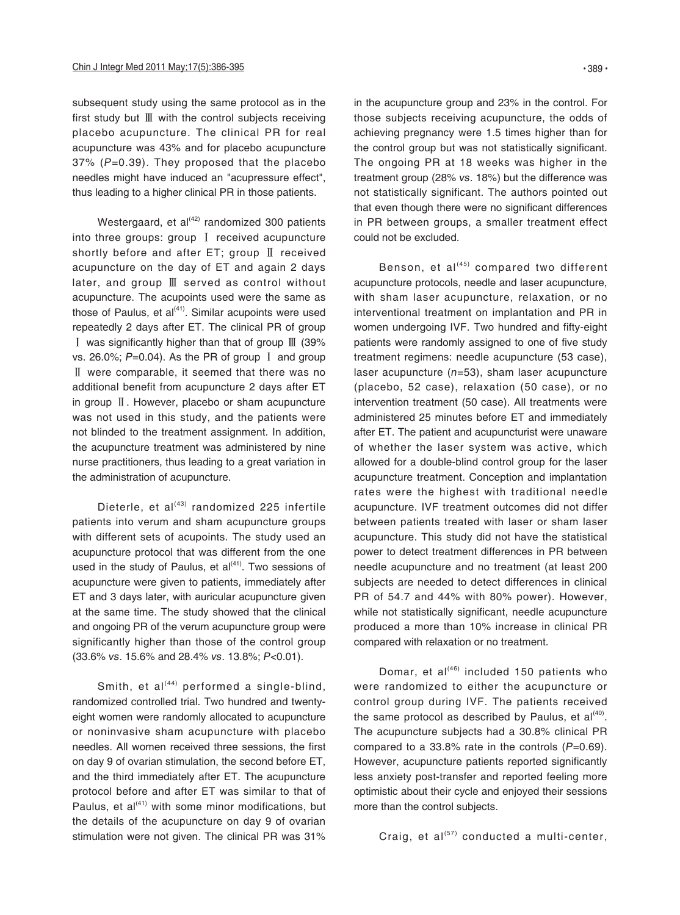subsequent study using the same protocol as in the first study but Ⅲ with the control subjects receiving placebo acupuncture. The clinical PR for real acupuncture was 43% and for placebo acupuncture 37% (P=0.39). They proposed that the placebo needles might have induced an "acupressure effect", thus leading to a higher clinical PR in those patients.

Westergaard, et al $(42)$  randomized 300 patients into three groups: group Ⅰ received acupuncture shortly before and after ET; group Ⅱ received acupuncture on the day of ET and again 2 days later, and group Ⅲ served as control without acupuncture. The acupoints used were the same as those of Paulus, et  $al^{(41)}$ . Similar acupoints were used repeatedly 2 days after ET. The clinical PR of group Ⅰ was significantly higher than that of group Ⅲ (39% vs. 26.0%;  $P=0.04$ ). As the PR of group I and group Ⅱ were comparable, it seemed that there was no additional benefit from acupuncture 2 days after ET in group Ⅱ. However, placebo or sham acupuncture was not used in this study, and the patients were not blinded to the treatment assignment. In addition, the acupuncture treatment was administered by nine nurse practitioners, thus leading to a great variation in the administration of acupuncture.

Dieterle, et al $(43)$  randomized 225 infertile patients into verum and sham acupuncture groups with different sets of acupoints. The study used an acupuncture protocol that was different from the one used in the study of Paulus, et  $al^{(41)}$ . Two sessions of acupuncture were given to patients, immediately after ET and 3 days later, with auricular acupuncture given at the same time. The study showed that the clinical and ongoing PR of the verum acupuncture group were significantly higher than those of the control group (33.6% vs. 15.6% and 28.4% vs. 13.8%; P<0.01).

Smith, et al $(44)$  performed a single-blind, randomized controlled trial. Two hundred and twentyeight women were randomly allocated to acupuncture or noninvasive sham acupuncture with placebo needles. All women received three sessions, the first on day 9 of ovarian stimulation, the second before ET, and the third immediately after ET. The acupuncture protocol before and after ET was similar to that of Paulus, et al $(41)$  with some minor modifications, but the details of the acupuncture on day 9 of ovarian stimulation were not given. The clinical PR was 31%

in the acupuncture group and 23% in the control. For those subjects receiving acupuncture, the odds of achieving pregnancy were 1.5 times higher than for the control group but was not statistically significant. The ongoing PR at 18 weeks was higher in the treatment group (28% vs. 18%) but the difference was not statistically significant. The authors pointed out that even though there were no significant differences in PR between groups, a smaller treatment effect could not be excluded.

Benson, et al $(45)$  compared two different acupuncture protocols, needle and laser acupuncture, with sham laser acupuncture, relaxation, or no interventional treatment on implantation and PR in women undergoing IVF. Two hundred and fifty-eight patients were randomly assigned to one of five study treatment regimens: needle acupuncture (53 case), laser acupuncture (n=53), sham laser acupuncture (placebo, 52 case), relaxation (50 case), or no intervention treatment (50 case). All treatments were administered 25 minutes before ET and immediately after ET. The patient and acupuncturist were unaware of whether the laser system was active, which allowed for a double-blind control group for the laser acupuncture treatment. Conception and implantation rates were the highest with traditional needle acupuncture. IVF treatment outcomes did not differ between patients treated with laser or sham laser acupuncture. This study did not have the statistical power to detect treatment differences in PR between needle acupuncture and no treatment (at least 200 subjects are needed to detect differences in clinical PR of 54.7 and 44% with 80% power). However, while not statistically significant, needle acupuncture produced a more than 10% increase in clinical PR compared with relaxation or no treatment.

Domar, et al $(46)$  included 150 patients who were randomized to either the acupuncture or control group during IVF. The patients received the same protocol as described by Paulus, et  $al^{(40)}$ . The acupuncture subjects had a 30.8% clinical PR compared to a 33.8% rate in the controls  $(P=0.69)$ . However, acupuncture patients reported significantly less anxiety post-transfer and reported feeling more optimistic about their cycle and enjoyed their sessions more than the control subjects.

Craig, et  $al^{(57)}$  conducted a multi-center,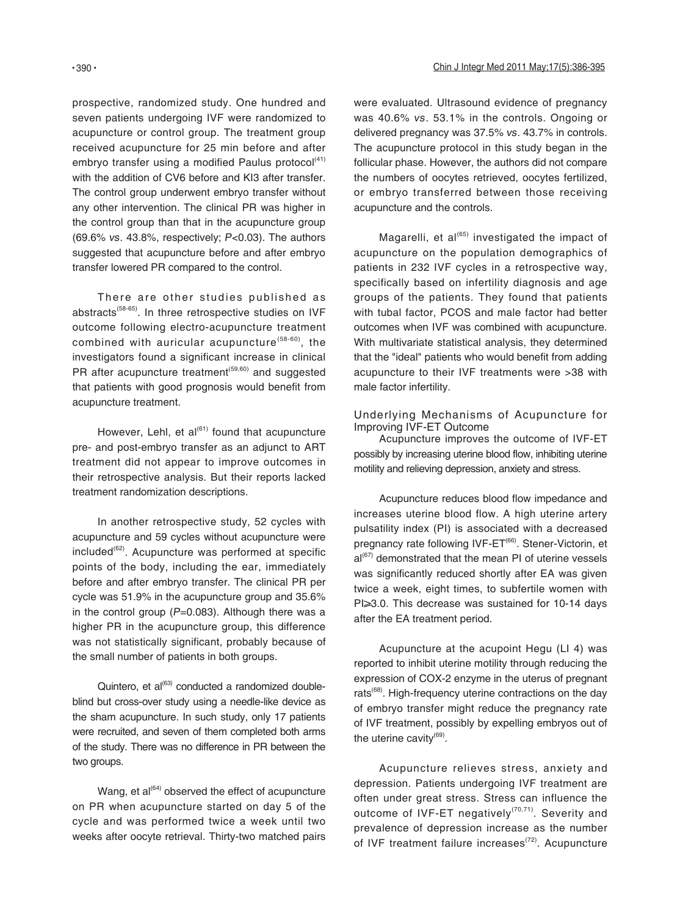prospective, randomized study. One hundred and seven patients undergoing IVF were randomized to acupuncture or control group. The treatment group received acupuncture for 25 min before and after embryo transfer using a modified Paulus protocol $(41)$ with the addition of CV6 before and KI3 after transfer. The control group underwent embryo transfer without any other intervention. The clinical PR was higher in the control group than that in the acupuncture group (69.6% vs. 43.8%, respectively; P<0.03). The authors suggested that acupuncture before and after embryo transfer lowered PR compared to the control.

There are other studies published as abstracts<sup>(58-65)</sup>. In three retrospective studies on IVF outcome following electro-acupuncture treatment combined with auricular acupuncture<sup> $(58-60)$ </sup>, the investigators found a significant increase in clinical PR after acupuncture treatment<sup>(59,60)</sup> and suggested that patients with good prognosis would benefit from acupuncture treatment.

However, Lehl, et  $al^{(61)}$  found that acupuncture pre- and post-embryo transfer as an adjunct to ART treatment did not appear to improve outcomes in their retrospective analysis. But their reports lacked treatment randomization descriptions.

In another retrospective study, 52 cycles with acupuncture and 59 cycles without acupuncture were  $included<sup>(62)</sup>$ . Acupuncture was performed at specific points of the body, including the ear, immediately before and after embryo transfer. The clinical PR per cycle was 51.9% in the acupuncture group and 35.6% in the control group  $(P=0.083)$ . Although there was a higher PR in the acupuncture group, this difference was not statistically significant, probably because of the small number of patients in both groups.

Quintero, et al<sup>(63)</sup> conducted a randomized doubleblind but cross-over study using a needle-like device as the sham acupuncture. In such study, only 17 patients were recruited, and seven of them completed both arms of the study. There was no difference in PR between the two groups.

Wang, et  $al^{(64)}$  observed the effect of acupuncture on PR when acupuncture started on day 5 of the cycle and was performed twice a week until two weeks after oocyte retrieval. Thirty-two matched pairs

were evaluated. Ultrasound evidence of pregnancy was 40.6% vs. 53.1% in the controls. Ongoing or delivered pregnancy was 37.5% vs. 43.7% in controls. The acupuncture protocol in this study began in the follicular phase. However, the authors did not compare the numbers of oocytes retrieved, oocytes fertilized, or embryo transferred between those receiving acupuncture and the controls.

Magarelli, et al $^{(65)}$  investigated the impact of acupuncture on the population demographics of patients in 232 IVF cycles in a retrospective way, specifically based on infertility diagnosis and age groups of the patients. They found that patients with tubal factor, PCOS and male factor had better outcomes when IVF was combined with acupuncture. With multivariate statistical analysis, they determined that the "ideal" patients who would benefit from adding acupuncture to their IVF treatments were >38 with male factor infertility.

Underlying Mechanisms of Acupuncture for Improving IVF-ET Outcome

Acupuncture improves the outcome of IVF-ET possibly by increasing uterine blood flow, inhibiting uterine motility and relieving depression, anxiety and stress.

Acupuncture reduces blood flow impedance and increases uterine blood flow. A high uterine artery pulsatility index (PI) is associated with a decreased pregnancy rate following IVF-ET<sup>(66)</sup>. Stener-Victorin, et  $al^{(67)}$  demonstrated that the mean PI of uterine vessels was significantly reduced shortly after EA was given twice a week, eight times, to subfertile women with  $Pl \geqslant 3.0$ . This decrease was sustained for 10-14 days after the EA treatment period.

Acupuncture at the acupoint Hegu (LI 4) was reported to inhibit uterine motility through reducing the expression of COX-2 enzyme in the uterus of pregnant rats<sup> $(68)$ </sup>. High-frequency uterine contractions on the day of embryo transfer might reduce the pregnancy rate of IVF treatment, possibly by expelling embryos out of the uterine cavity $^{(69)}$ .

Acupuncture relieves stress, anxiety and depression. Patients undergoing IVF treatment are often under great stress. Stress can influence the outcome of IVF-ET negatively<sup>(70,71)</sup>. Severity and prevalence of depression increase as the number of IVF treatment failure increases<sup>(72)</sup>. Acupuncture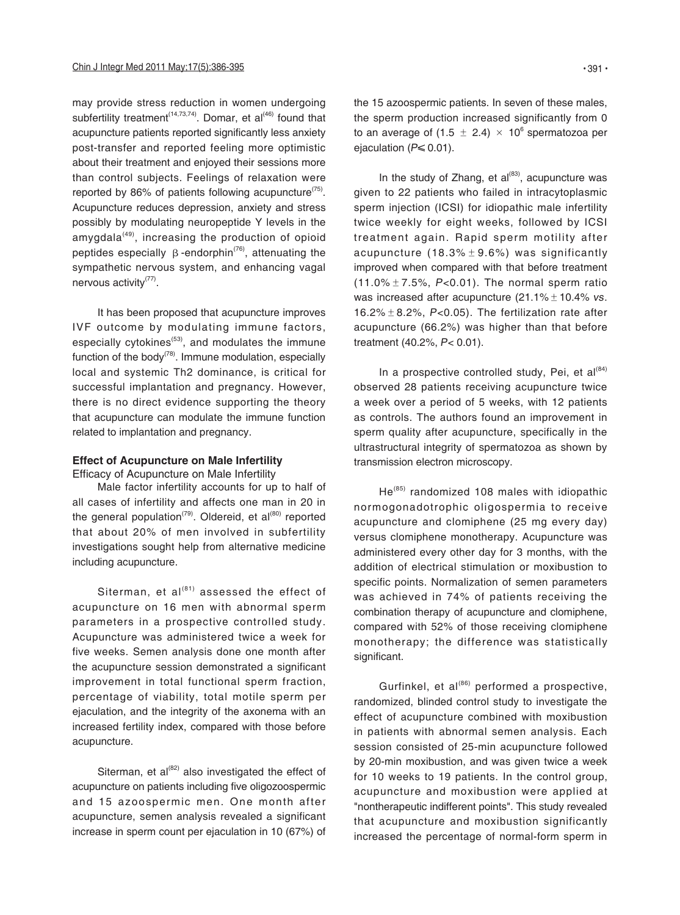may provide stress reduction in women undergoing subfertility treatment<sup>(14,73,74)</sup>. Domar, et al<sup>(46)</sup> found that acupuncture patients reported significantly less anxiety post-transfer and reported feeling more optimistic about their treatment and enjoyed their sessions more than control subjects. Feelings of relaxation were reported by 86% of patients following acupuncture<sup> $(75)$ </sup>. Acupuncture reduces depression, anxiety and stress possibly by modulating neuropeptide Y levels in the amygdala $(49)$ , increasing the production of opioid peptides especially  $β$ -endorphin<sup> $(76)$ </sup>, attenuating the sympathetic nervous system, and enhancing vagal nervous activity<sup>(77)</sup>.

It has been proposed that acupuncture improves IVF outcome by modulating immune factors, especially cytokines $(53)$ , and modulates the immune function of the body<sup> $(78)$ </sup>. Immune modulation, especially local and systemic Th2 dominance, is critical for successful implantation and pregnancy. However, there is no direct evidence supporting the theory that acupuncture can modulate the immune function related to implantation and pregnancy.

## **Effect of Acupuncture on Male Infertility**

Efficacy of Acupuncture on Male Infertility

Male factor infertility accounts for up to half of all cases of infertility and affects one man in 20 in the general population<sup>(79)</sup>. Oldereid, et al<sup>(80)</sup> reported that about 20% of men involved in subfertility investigations sought help from alternative medicine including acupuncture.

Siterman, et  $al^{(81)}$  assessed the effect of acupuncture on 16 men with abnormal sperm parameters in a prospective controlled study. Acupuncture was administered twice a week for five weeks. Semen analysis done one month after the acupuncture session demonstrated a significant improvement in total functional sperm fraction, percentage of viability, total motile sperm per ejaculation, and the integrity of the axonema with an increased fertility index, compared with those before acupuncture.

Siterman, et al $^{(82)}$  also investigated the effect of acupuncture on patients including five oligozoospermic and 15 azoospermic men. One month after acupuncture, semen analysis revealed a significant increase in sperm count per ejaculation in 10 (67%) of

the 15 azoospermic patients. In seven of these males, the sperm production increased significantly from 0 to an average of (1.5  $\pm$  2.4)  $\times$  10<sup>6</sup> spermatozoa per ejaculation ( $P \le 0.01$ ).

In the study of Zhang, et  $al^{(83)}$ , acupuncture was given to 22 patients who failed in intracytoplasmic sperm injection (ICSI) for idiopathic male infertility twice weekly for eight weeks, followed by ICSI treatment again. Rapid sperm motility after acupuncture (18.3% $\pm$ 9.6%) was significantly improved when compared with that before treatment (11.0% $\pm$  7.5%, P<0.01). The normal sperm ratio was increased after acupuncture  $(21.1\% \pm 10.4\% \text{ vs.})$ 16.2% $\pm$  8.2%, P<0.05). The fertilization rate after acupuncture (66.2%) was higher than that before treatment (40.2%, P< 0.01).

In a prospective controlled study, Pei, et  $al^{(84)}$ observed 28 patients receiving acupuncture twice a week over a period of 5 weeks, with 12 patients as controls. The authors found an improvement in sperm quality after acupuncture, specifically in the ultrastructural integrity of spermatozoa as shown by transmission electron microscopy.

He(85) randomized 108 males with idiopathic normogonadotrophic oligospermia to receive acupuncture and clomiphene (25 mg every day) versus clomiphene monotherapy. Acupuncture was administered every other day for 3 months, with the addition of electrical stimulation or moxibustion to specific points. Normalization of semen parameters was achieved in 74% of patients receiving the combination therapy of acupuncture and clomiphene, compared with 52% of those receiving clomiphene monotherapy; the difference was statistically significant.

Gurfinkel, et al<sup>(86)</sup> performed a prospective, randomized, blinded control study to investigate the effect of acupuncture combined with moxibustion in patients with abnormal semen analysis. Each session consisted of 25-min acupuncture followed by 20-min moxibustion, and was given twice a week for 10 weeks to 19 patients. In the control group, acupuncture and moxibustion were applied at "nontherapeutic indifferent points". This study revealed that acupuncture and moxibustion significantly increased the percentage of normal-form sperm in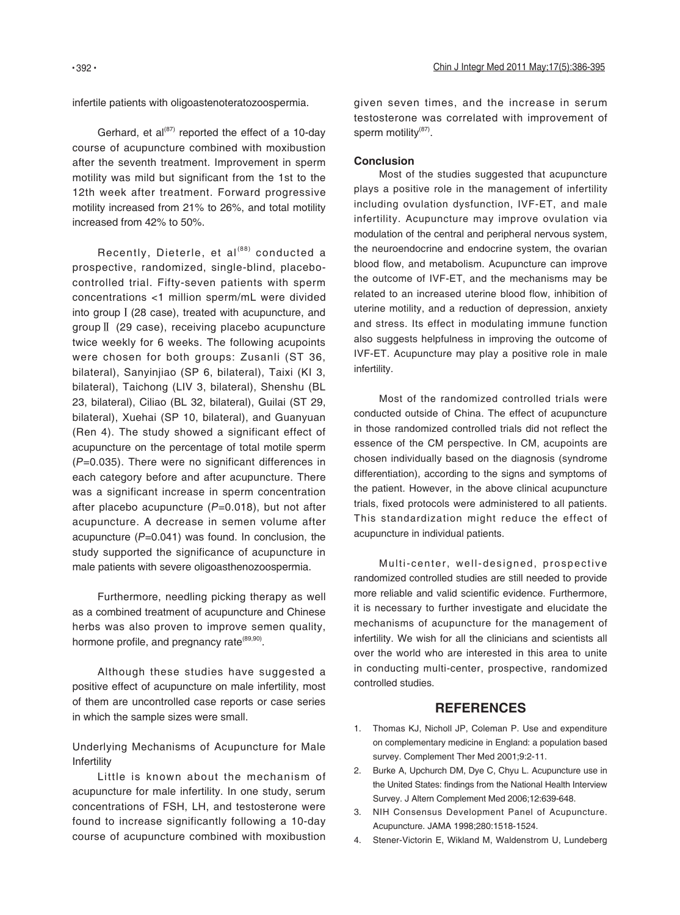infertile patients with oligoastenoteratozoospermia.

Gerhard, et al $^{(87)}$  reported the effect of a 10-day course of acupuncture combined with moxibustion after the seventh treatment. Improvement in sperm motility was mild but significant from the 1st to the 12th week after treatment. Forward progressive motility increased from 21% to 26%, and total motility increased from 42% to 50%.

Recently, Dieterle, et al<sup>(88)</sup> conducted a prospective, randomized, single-blind, placebocontrolled trial. Fifty-seven patients with sperm concentrations <1 million sperm/mL were divided into groupⅠ(28 case), treated with acupuncture, and groupⅡ (29 case), receiving placebo acupuncture twice weekly for 6 weeks. The following acupoints were chosen for both groups: Zusanli (ST 36, bilateral), Sanyinjiao (SP 6, bilateral), Taixi (KI 3, bilateral), Taichong (LIV 3, bilateral), Shenshu (BL 23, bilateral), Ciliao (BL 32, bilateral), Guilai (ST 29, bilateral), Xuehai (SP 10, bilateral), and Guanyuan (Ren 4). The study showed a significant effect of acupuncture on the percentage of total motile sperm (P=0.035). There were no significant differences in each category before and after acupuncture. There was a significant increase in sperm concentration after placebo acupuncture  $(P=0.018)$ , but not after acupuncture. A decrease in semen volume after acupuncture  $(P=0.041)$  was found. In conclusion, the study supported the significance of acupuncture in male patients with severe oligoasthenozoospermia.

Furthermore, needling picking therapy as well as a combined treatment of acupuncture and Chinese herbs was also proven to improve semen quality, hormone profile, and pregnancy rate<sup>(89,90)</sup>.

Although these studies have suggested a positive effect of acupuncture on male infertility, most of them are uncontrolled case reports or case series in which the sample sizes were small.

Underlying Mechanisms of Acupuncture for Male Infertility

Little is known about the mechanism of acupuncture for male infertility. In one study, serum concentrations of FSH, LH, and testosterone were found to increase significantly following a 10-day course of acupuncture combined with moxibustion

given seven times, and the increase in serum testosterone was correlated with improvement of sperm motility<sup>(87)</sup>.

#### **Conclusion**

Most of the studies suggested that acupuncture plays a positive role in the management of infertility including ovulation dysfunction, IVF-ET, and male infertility. Acupuncture may improve ovulation via modulation of the central and peripheral nervous system, the neuroendocrine and endocrine system, the ovarian blood flow, and metabolism. Acupuncture can improve the outcome of IVF-ET, and the mechanisms may be related to an increased uterine blood flow, inhibition of uterine motility, and a reduction of depression, anxiety and stress. Its effect in modulating immune function also suggests helpfulness in improving the outcome of IVF-ET. Acupuncture may play a positive role in male infertility.

Most of the randomized controlled trials were conducted outside of China. The effect of acupuncture in those randomized controlled trials did not reflect the essence of the CM perspective. In CM, acupoints are chosen individually based on the diagnosis (syndrome differentiation), according to the signs and symptoms of the patient. However, in the above clinical acupuncture trials, fixed protocols were administered to all patients. This standardization might reduce the effect of acupuncture in individual patients.

Multi-center, well-designed, prospective randomized controlled studies are still needed to provide more reliable and valid scientific evidence. Furthermore, it is necessary to further investigate and elucidate the mechanisms of acupuncture for the management of infertility. We wish for all the clinicians and scientists all over the world who are interested in this area to unite in conducting multi-center, prospective, randomized controlled studies.

## **REFERENCES**

- 1. Thomas KJ, Nicholl JP, Coleman P. Use and expenditure on complementary medicine in England: a population based survey. Complement Ther Med 2001;9:2-11.
- 2. Burke A, Upchurch DM, Dye C, Chyu L. Acupuncture use in the United States: findings from the National Health Interview Survey. J Altern Complement Med 2006;12:639-648.
- 3. NIH Consensus Development Panel of Acupuncture. Acupuncture. JAMA 1998;280:1518-1524.
- 4. Stener-Victorin E, Wikland M, Waldenstrom U, Lundeberg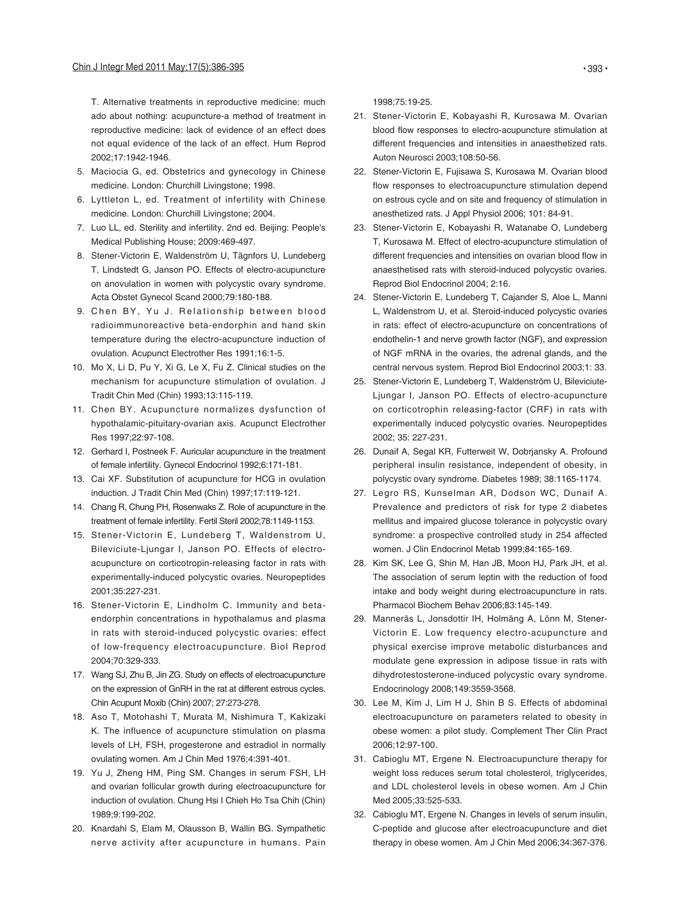T. Alternative treatments in reproductive medicine: much ado about nothing: acupuncture-a method of treatment in reproductive medicine: lack of evidence of an effect does not equal evidence of the lack of an effect. Hum Reprod 2002;17:1942-1946.

- Maciocia G, ed. Obstetrics and gynecology in Chinese 5. medicine. London: Churchill Livingstone; 1998.
- 6. Lyttleton L, ed. Treatment of infertility with Chinese medicine. London: Churchill Livingstone; 2004.
- 7. Luo LL, ed. Sterility and infertility. 2nd ed. Beijing: People's Medical Publishing House; 2009:469-497.
- 8. Stener-Victorin E, Waldenström U, Tägnfors U, Lundeberg T, Lindstedt G, Janson PO. Effects of electro-acupuncture on anovulation in women with polycystic ovary syndrome. Acta Obstet Gynecol Scand 2000;79:180-188.
- 9. Chen BY, Yu J. Relationship between blood radioimmunoreactive beta-endorphin and hand skin temperature during the electro-acupuncture induction of ovulation. Acupunct Electrother Res 1991;16:1-5.
- 10. Mo X, Li D, Pu Y, Xi G, Le X, Fu Z. Clinical studies on the mechanism for acupuncture stimulation of ovulation. J Tradit Chin Med (Chin) 1993;13:115-119.
- 11. Chen BY. Acupuncture normalizes dysfunction of hypothalamic-pituitary-ovarian axis. Acupunct Electrother Res 1997;22:97-108.
- 12. Gerhard I, Postneek F. Auricular acupuncture in the treatment of female infertility. Gynecol Endocrinol 1992;6:171-181.
- 13. Cai XF. Substitution of acupuncture for HCG in ovulation induction. J Tradit Chin Med (Chin) 1997;17:119-121.
- 14. Chang R, Chung PH, Rosenwaks Z. Role of acupuncture in the treatment of female infertility. Fertil Steril 2002;78:1149-1153.
- 15. Stener-Victorin E, Lundeberg T, Waldenstrom U, Bileviciute-Ljungar I, Janson PO. Effects of electroacupuncture on corticotropin-releasing factor in rats with experimentally-induced polycystic ovaries. Neuropeptides 2001;35:227-231.
- 16. Stener-Victorin E, Lindholm C. Immunity and betaendorphin concentrations in hypothalamus and plasma in rats with steroid-induced polycystic ovaries: effect of low-frequency electroacupuncture. Biol Reprod 2004;70:329-333.
- 17. Wang SJ, Zhu B, Jin ZG. Study on effects of electroacupuncture on the expression of GnRH in the rat at different estrous cycles. Chin Acupunt Moxib (Chin) 2007; 27:273-278.
- 18. Aso T, Motohashi T, Murata M, Nishimura T, Kakizaki K. The influence of acupuncture stimulation on plasma levels of LH, FSH, progesterone and estradiol in normally ovulating women. Am J Chin Med 1976;4:391-401.
- 19. Yu J, Zheng HM, Ping SM. Changes in serum FSH, LH and ovarian follicular growth during electroacupuncture for induction of ovulation. Chung Hsi I Chieh Ho Tsa Chih (Chin) 1989;9:199-202.
- 20. Knardahl S, Elam M, Olausson B, Wallin BG. Sympathetic nerve activity after acupuncture in humans. Pain

1998;75:19-25.

- 21. Stener-Victorin E, Kobayashi R, Kurosawa M. Ovarian blood flow responses to electro-acupuncture stimulation at different frequencies and intensities in anaesthetized rats. Auton Neurosci 2003;108:50-56.
- 22. Stener-Victorin E, Fujisawa S, Kurosawa M. Ovarian blood flow responses to electroacupuncture stimulation depend on estrous cycle and on site and frequency of stimulation in anesthetized rats. J Appl Physiol 2006; 101: 84-91.
- 23. Stener-Victorin E, Kobayashi R, Watanabe O, Lundeberg T, Kurosawa M. Effect of electro-acupuncture stimulation of different frequencies and intensities on ovarian blood flow in anaesthetised rats with steroid-induced polycystic ovaries. Reprod Biol Endocrinol 2004; 2:16.
- 24. Stener-Victorin E, Lundeberg T, Cajander S, Aloe L, Manni L, Waldenstrom U, et al. Steroid-induced polycystic ovaries in rats: effect of electro-acupuncture on concentrations of endothelin-1 and nerve growth factor (NGF), and expression of NGF mRNA in the ovaries, the adrenal glands, and the central nervous system. Reprod Biol Endocrinol 2003;1: 33.
- 25. Stener-Victorin E, Lundeberg T, Waldenström U, Bileviciute-Ljungar I, Janson PO. Effects of electro-acupuncture on corticotrophin releasing-factor (CRF) in rats with experimentally induced polycystic ovaries. Neuropeptides 2002; 35: 227-231.
- 26. Dunaif A, Segal KR, Futterweit W, Dobrjansky A. Profound peripheral insulin resistance, independent of obesity, in polycystic ovary syndrome. Diabetes 1989; 38:1165-1174.
- 27. Legro RS, Kunselman AR, Dodson WC, Dunaif A. Prevalence and predictors of risk for type 2 diabetes mellitus and impaired glucose tolerance in polycystic ovary syndrome: a prospective controlled study in 254 affected women. J Clin Endocrinol Metab 1999;84:165-169.
- 28. Kim SK, Lee G, Shin M, Han JB, Moon HJ, Park JH, et al. The association of serum leptin with the reduction of food intake and body weight during electroacupuncture in rats. Pharmacol Biochem Behav 2006;83:145-149.
- 29. Manneräs L, Jonsdottir IH, Holmäng A, Lönn M, Stener-Victorin E. Low frequency electro-acupuncture and physical exercise improve metabolic disturbances and modulate gene expression in adipose tissue in rats with dihydrotestosterone-induced polycystic ovary syndrome. Endocrinology 2008;149:3559-3568.
- 30. Lee M, Kim J, Lim H J, Shin B S. Effects of abdominal electroacupuncture on parameters related to obesity in obese women: a pilot study. Complement Ther Clin Pract 2006;12:97-100.
- 31. Cabioglu MT, Ergene N. Electroacupuncture therapy for weight loss reduces serum total cholesterol, triglycerides, and LDL cholesterol levels in obese women. Am J Chin Med 2005;33:525-533.
- 32. Cabioglu MT, Ergene N. Changes in levels of serum insulin, C-peptide and glucose after electroacupuncture and diet therapy in obese women. Am J Chin Med 2006;34:367-376.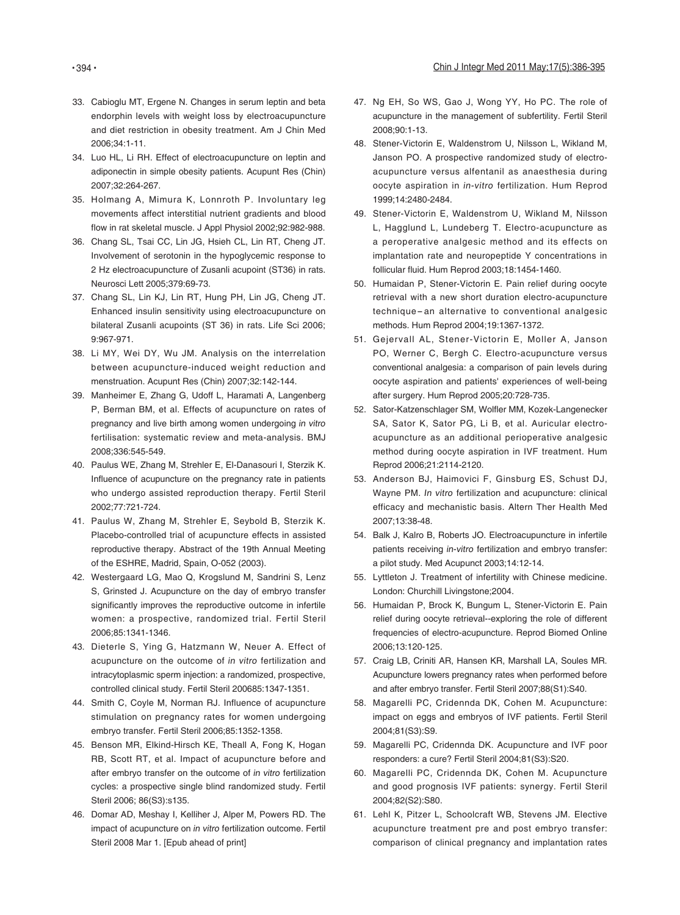- 33. Cabioglu MT, Ergene N. Changes in serum leptin and beta endorphin levels with weight loss by electroacupuncture and diet restriction in obesity treatment. Am J Chin Med 2006;34:1-11.
- 34. Luo HL, Li RH. Effect of electroacupuncture on leptin and adiponectin in simple obesity patients. Acupunt Res (Chin) 2007;32:264-267.
- 35. Holmang A, Mimura K, Lonnroth P. Involuntary leg movements affect interstitial nutrient gradients and blood flow in rat skeletal muscle. J Appl Physiol 2002;92:982-988.
- 36. Chang SL, Tsai CC, Lin JG, Hsieh CL, Lin RT, Cheng JT. Involvement of serotonin in the hypoglycemic response to 2 Hz electroacupuncture of Zusanli acupoint (ST36) in rats. Neurosci Lett 2005;379:69-73.
- 37. Chang SL, Lin KJ, Lin RT, Hung PH, Lin JG, Cheng JT. Enhanced insulin sensitivity using electroacupuncture on bilateral Zusanli acupoints (ST 36) in rats. Life Sci 2006; 9:967-971.
- 38. Li MY, Wei DY, Wu JM. Analysis on the interrelation between acupuncture-induced weight reduction and menstruation. Acupunt Res (Chin) 2007;32:142-144.
- 39. Manheimer E, Zhang G, Udoff L, Haramati A, Langenberg P, Berman BM, et al. Effects of acupuncture on rates of pregnancy and live birth among women undergoing in vitro fertilisation: systematic review and meta-analysis. BMJ 2008;336:545-549.
- 40. Paulus WE, Zhang M, Strehler E, El-Danasouri I, Sterzik K. Influence of acupuncture on the pregnancy rate in patients who undergo assisted reproduction therapy. Fertil Steril 2002;77:721-724.
- 41. Paulus W, Zhang M, Strehler E, Seybold B, Sterzik K. Placebo-controlled trial of acupuncture effects in assisted reproductive therapy. Abstract of the 19th Annual Meeting of the ESHRE, Madrid, Spain, O-052 (2003).
- 42. Westergaard LG, Mao Q, Krogslund M, Sandrini S, Lenz S, Grinsted J. Acupuncture on the day of embryo transfer significantly improves the reproductive outcome in infertile women: a prospective, randomized trial. Fertil Steril 2006;85:1341-1346.
- 43. Dieterle S, Ying G, Hatzmann W, Neuer A. Effect of acupuncture on the outcome of in vitro fertilization and intracytoplasmic sperm injection: a randomized, prospective, controlled clinical study. Fertil Steril 200685:1347-1351.
- 44. Smith C, Coyle M, Norman RJ. Influence of acupuncture stimulation on pregnancy rates for women undergoing embryo transfer. Fertil Steril 2006;85:1352-1358.
- 45. Benson MR, Elkind-Hirsch KE, Theall A, Fong K, Hogan RB, Scott RT, et al. Impact of acupuncture before and after embryo transfer on the outcome of in vitro fertilization cycles: a prospective single blind randomized study. Fertil Steril 2006; 86(S3):s135.
- 46. Domar AD, Meshay I, Kelliher J, Alper M, Powers RD. The impact of acupuncture on in vitro fertilization outcome. Fertil Steril 2008 Mar 1. [Epub ahead of print]
- 47. Ng EH, So WS, Gao J, Wong YY, Ho PC. The role of acupuncture in the management of subfertility. Fertil Steril 2008;90:1-13.
- 48. Stener-Victorin E, Waldenstrom U, Nilsson L, Wikland M, Janson PO. A prospective randomized study of electroacupuncture versus alfentanil as anaesthesia during oocyte aspiration in in-vitro fertilization. Hum Reprod 1999;14:2480-2484.
- 49. Stener-Victorin E, Waldenstrom U, Wikland M, Nilsson L, Hagglund L, Lundeberg T. Electro-acupuncture as a peroperative analgesic method and its effects on implantation rate and neuropeptide Y concentrations in follicular fluid. Hum Reprod 2003;18:1454-1460.
- 50. Humaidan P, Stener-Victorin E. Pain relief during oocyte retrieval with a new short duration electro-acupuncture technique-an alternative to conventional analgesic methods. Hum Reprod 2004;19:1367-1372.
- 51. Gejervall AL, Stener-Victorin E, Moller A, Janson PO, Werner C, Bergh C. Electro-acupuncture versus conventional analgesia: a comparison of pain levels during oocyte aspiration and patients' experiences of well-being after surgery. Hum Reprod 2005;20:728-735.
- 52. Sator-Katzenschlager SM, Wolfler MM, Kozek-Langenecker SA, Sator K, Sator PG, Li B, et al. Auricular electroacupuncture as an additional perioperative analgesic method during oocyte aspiration in IVF treatment. Hum Reprod 2006;21:2114-2120.
- 53. Anderson BJ, Haimovici F, Ginsburg ES, Schust DJ, Wayne PM. In vitro fertilization and acupuncture: clinical efficacy and mechanistic basis. Altern Ther Health Med 2007;13:38-48.
- 54. Balk J, Kalro B, Roberts JO. Electroacupuncture in infertile patients receiving in-vitro fertilization and embryo transfer: a pilot study. Med Acupunct 2003;14:12-14.
- 55. Lyttleton J. Treatment of infertility with Chinese medicine. London: Churchill Livingstone;2004.
- 56. Humaidan P, Brock K, Bungum L, Stener-Victorin E. Pain relief during oocyte retrieval--exploring the role of different frequencies of electro-acupuncture. Reprod Biomed Online 2006;13:120-125.
- 57. Craig LB, Criniti AR, Hansen KR, Marshall LA, Soules MR. Acupuncture lowers pregnancy rates when performed before and after embryo transfer. Fertil Steril 2007;88(S1):S40.
- 58. Magarelli PC, Cridennda DK, Cohen M. Acupuncture: impact on eggs and embryos of IVF patients. Fertil Steril 2004;81(S3):S9.
- 59. Magarelli PC, Cridennda DK. Acupuncture and IVF poor responders: a cure? Fertil Steril 2004;81(S3):S20.
- 60. Magarelli PC, Cridennda DK, Cohen M. Acupuncture and good prognosis IVF patients: synergy. Fertil Steril 2004;82(S2):S80.
- 61. Lehl K, Pitzer L, Schoolcraft WB, Stevens JM. Elective acupuncture treatment pre and post embryo transfer: comparison of clinical pregnancy and implantation rates